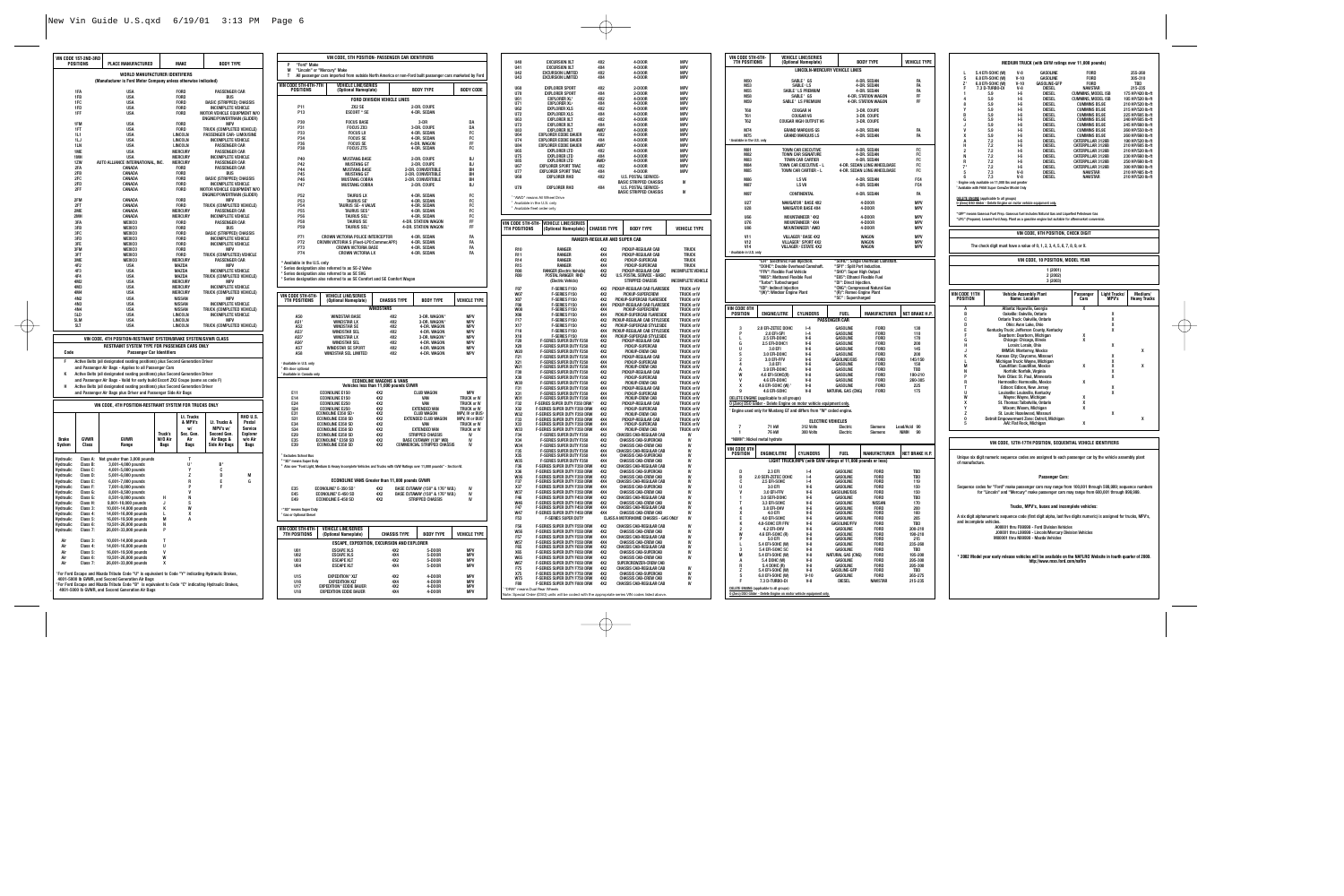|                                                          | VIN CODE 1ST-2ND-3RD<br>POSITIONS | <b>PLACE MANUFACTURED</b>                                                                                                                                           |             | <b>MAKE</b>                      | <b>BODY TYPE</b>                                      |                    |  |  |
|----------------------------------------------------------|-----------------------------------|---------------------------------------------------------------------------------------------------------------------------------------------------------------------|-------------|----------------------------------|-------------------------------------------------------|--------------------|--|--|
|                                                          |                                   | WORLD MANUFACTURER IDENTIFIERS                                                                                                                                      |             |                                  |                                                       |                    |  |  |
|                                                          |                                   | (Manufacturer is Ford Motor Company unless otherwise indicated)                                                                                                     |             |                                  |                                                       |                    |  |  |
| 1FA<br><b>USA</b><br><b>FORD</b><br><b>PASSENGER CAR</b> |                                   |                                                                                                                                                                     |             |                                  |                                                       |                    |  |  |
|                                                          | 1FB<br>1FC                        | <b>USA</b><br><b>USA</b>                                                                                                                                            |             | <b>FORD</b><br><b>FORD</b>       | <b>BUS</b><br><b>BASIC (STRIPPED) CHASSIS</b>         |                    |  |  |
|                                                          | 1FD                               | <b>USA</b>                                                                                                                                                          |             | <b>FORD</b>                      | INCOMPLETE VEHICLE                                    |                    |  |  |
|                                                          | 1FF                               | <b>USA</b>                                                                                                                                                          |             | FORD                             | MOTOR VEHICLE EQUIPMENT W/O                           |                    |  |  |
|                                                          |                                   |                                                                                                                                                                     |             |                                  | <b>ENGINE/POWERTRAIN (GLIDER)</b>                     |                    |  |  |
|                                                          | 1FM<br>1FT                        | <b>USA</b><br><b>USA</b>                                                                                                                                            |             | <b>FORD</b><br><b>FORD</b>       | <b>MPV</b><br>TRUCK (COMPLETED VEHICLE)               |                    |  |  |
|                                                          | 1L1                               | <b>USA</b>                                                                                                                                                          |             | LINCOLN                          | PASSENGER CAR- LIMOUSINE                              |                    |  |  |
|                                                          | 1LJ                               | <b>USA</b>                                                                                                                                                          |             | LINCOLN                          | INCOMPLETE VEHICLE                                    |                    |  |  |
|                                                          | 1LN                               | <b>USA</b>                                                                                                                                                          |             | LINCOLN                          | PASSENGER CAR                                         |                    |  |  |
|                                                          | 1ME<br>1MH                        | <b>USA</b><br><b>USA</b>                                                                                                                                            |             | <b>MERCURY</b><br><b>MERCURY</b> | PASSENGER CAR<br><b>INCOMPLETE VEHICLE</b>            |                    |  |  |
|                                                          | 1ZW                               | AUTO ALLIANCE INTERNATIONAL, INC.                                                                                                                                   |             | <b>MERCURY</b>                   | <b>PASSENGER CAR</b>                                  |                    |  |  |
|                                                          | 2FA                               | CANADA                                                                                                                                                              |             | FORD                             | <b>PASSENGER CAR</b>                                  |                    |  |  |
|                                                          | 2FB<br>2FC                        | CANADA<br>CANADA                                                                                                                                                    |             | <b>FORD</b><br><b>FORD</b>       | <b>BUS</b><br><b>BASIC (STRIPPED) CHASSIS</b>         |                    |  |  |
|                                                          | 2FD                               | CANADA                                                                                                                                                              |             | <b>FORD</b>                      | INCOMPLETE VEHICLE                                    |                    |  |  |
|                                                          | 2FF                               | CANADA                                                                                                                                                              |             | <b>FORD</b>                      | MOTOR VEHICLE EQUIPMENT W/O                           |                    |  |  |
|                                                          |                                   |                                                                                                                                                                     |             |                                  | <b>ENGINE/POWERTRAIN (GLIDER)</b>                     |                    |  |  |
|                                                          | 2FM                               | CANADA                                                                                                                                                              |             | <b>FORD</b>                      | <b>MPV</b>                                            |                    |  |  |
|                                                          | 2FT<br>2ME                        | CANADA<br>CANADA                                                                                                                                                    |             | <b>FORD</b><br><b>MERCURY</b>    | TRUCK (COMPLETED VEHICLE)<br><b>PASSENGER CAR</b>     |                    |  |  |
|                                                          | 2MH                               | CANADA                                                                                                                                                              |             | <b>MERCURY</b>                   | INCOMPLETE VEHICLE                                    |                    |  |  |
|                                                          | 3FA                               | <b>MEXICO</b>                                                                                                                                                       |             | <b>FORD</b>                      | <b>PASSENGER CAR</b>                                  |                    |  |  |
|                                                          | 3FB                               | <b>MEXICO</b>                                                                                                                                                       |             | <b>FORD</b>                      | <b>BUS</b>                                            |                    |  |  |
|                                                          | 3FC<br>3FD                        | <b>MEXICO</b><br><b>MEXICO</b>                                                                                                                                      |             | FORD<br><b>FORD</b>              | <b>BASIC (STRIPPED) CHASSIS</b><br>INCOMPLETE VEHICLE |                    |  |  |
|                                                          | 3FF                               | <b>MEXICO</b>                                                                                                                                                       |             | FORD                             | <b>INCOMPLETE VEHICLE</b>                             |                    |  |  |
|                                                          | 3FM                               | <b>MEXICO</b>                                                                                                                                                       |             | FORD                             | <b>MPV</b>                                            |                    |  |  |
|                                                          | 3FT                               | <b>MEXICO</b>                                                                                                                                                       |             | <b>FORD</b>                      | TRUCK (COMPLETED) VEHICLE                             |                    |  |  |
|                                                          | 3ME<br>4F <sub>2</sub>            | <b>MEXICO</b>                                                                                                                                                       |             | <b>MERCURY</b>                   | <b>PASSENGER CAR</b>                                  |                    |  |  |
|                                                          | 4F3                               | <b>USA</b><br><b>USA</b>                                                                                                                                            |             | MAZDA<br>MAZDA                   | <b>MPV</b><br>INCOMPLETE VEHICLE                      |                    |  |  |
|                                                          | 4F4                               | <b>USA</b>                                                                                                                                                          |             | MAZDA                            | TRUCK (COMPLETED VEHICLE)                             |                    |  |  |
|                                                          | 4M2                               | <b>USA</b>                                                                                                                                                          |             | <b>MERCURY</b>                   | <b>MPV</b>                                            |                    |  |  |
|                                                          | 4M3                               | <b>USA</b>                                                                                                                                                          |             | <b>MERCURY</b>                   | <b>INCOMPLETE VEHICLE</b>                             |                    |  |  |
|                                                          | 4M4<br>4N2                        | <b>USA</b><br><b>USA</b>                                                                                                                                            |             | <b>MERCURY</b><br><b>NISSAN</b>  | TRUCK (COMPLETED VEHICLE)<br><b>MPV</b>               |                    |  |  |
|                                                          | 4N3                               | <b>USA</b>                                                                                                                                                          |             | <b>NISSAN</b>                    | INCOMPLETE VEHICLE                                    |                    |  |  |
|                                                          | 4N4                               | <b>USA</b>                                                                                                                                                          |             | <b>NISSAN</b>                    | TRUCK (COMPLETED VEHICLE)                             |                    |  |  |
|                                                          | 51D                               | <b>USA</b>                                                                                                                                                          |             | LINCOLN                          | INCOMPLETE VEHICLE                                    |                    |  |  |
|                                                          | 5LM<br>5LT                        | <b>USA</b><br><b>USA</b>                                                                                                                                            |             | LINCOLN<br>LINCOLN               | <b>MPV</b><br>TRUCK (COMPLETED VEHICLE)               |                    |  |  |
|                                                          |                                   |                                                                                                                                                                     |             |                                  |                                                       |                    |  |  |
|                                                          |                                   | VIN CODE. 4TH POSITION-RESTRAINT SYSTEM/BRAKE SYSTEM/GVWR CLASS                                                                                                     |             |                                  |                                                       |                    |  |  |
| Code                                                     |                                   | RESTRAINT SYSTEM TYPE FOR PASSENGER CARS ONLY<br><b>Passenger Car Identifiers</b>                                                                                   |             |                                  |                                                       |                    |  |  |
| F                                                        |                                   | Active Belts (all designated seating positions) plus Second Generation Driver                                                                                       |             |                                  |                                                       |                    |  |  |
|                                                          |                                   | and Passenger Air Bags - Applies to all Passenger Cars                                                                                                              |             |                                  |                                                       |                    |  |  |
| к                                                        |                                   | Active Belts (all designated seating positions) plus Second Generation Driver                                                                                       |             |                                  |                                                       |                    |  |  |
| н                                                        |                                   | and Passenger Air Bags - Valid for early build Escort ZX2 Coupe (same as code F)<br>Active Belts (all designated seating positions) plus Second Generation Driver   |             |                                  |                                                       |                    |  |  |
|                                                          |                                   | and Passenger Air Bags plus Driver and Passenger Side Air Bags                                                                                                      |             |                                  |                                                       |                    |  |  |
|                                                          |                                   | VIN CODE, 4TH POSITION-RESTRAINT SYSTEM FOR TRUCKS ONLY                                                                                                             |             |                                  |                                                       |                    |  |  |
|                                                          |                                   |                                                                                                                                                                     |             |                                  |                                                       |                    |  |  |
|                                                          |                                   |                                                                                                                                                                     |             | Lt. Trucks<br>& MPV's            | Lt. Trucks &                                          | RHD U.S.<br>Postal |  |  |
|                                                          |                                   |                                                                                                                                                                     |             | W/                               | MPV's w/                                              | Service            |  |  |
|                                                          |                                   |                                                                                                                                                                     | Truck's     | Sec. Gen.                        | Second Gen.                                           | <b>Explorer</b>    |  |  |
| <b>Brake</b>                                             | <b>GVWR</b>                       | <b>GVWR</b>                                                                                                                                                         | W/O Air     | Air                              | Air Bags &                                            | w/o Air            |  |  |
| System                                                   | Class                             | Range                                                                                                                                                               | <b>Bags</b> | <b>Bags</b>                      | <b>Side Air Bags</b>                                  | <b>Baus</b>        |  |  |
| Hydraulic                                                | Class A:                          | Not greater than 3,000 pounds                                                                                                                                       |             | T                                |                                                       |                    |  |  |
| Hydraulic                                                | Class B:                          | 3,001-4,000 pounds                                                                                                                                                  |             | U١                               | B <sup>2</sup>                                        |                    |  |  |
| Hydraulic                                                | Class C:                          | 4,001-5,000 pounds                                                                                                                                                  |             | Y                                | C                                                     |                    |  |  |
| Hydraulic<br>Hydraulic                                   | Class D:<br>Class E:              | 5,001-6,000 pounds<br>6,001-7,000 pounds                                                                                                                            |             | z<br>R                           | D<br>Ε                                                | M<br>G             |  |  |
| Hydraulic                                                | Class F:                          | 7,001-8,000 pounds                                                                                                                                                  |             | P                                | F                                                     |                    |  |  |
| Hydraulic                                                | Class G:                          | 8,001-8,500 pounds                                                                                                                                                  |             | V                                |                                                       |                    |  |  |
| Hydraulic                                                | Class G:                          | 8,501-9,000 pounds                                                                                                                                                  | н           | N                                |                                                       |                    |  |  |
| Hydraulic                                                | Class H:                          | 9,001-10,000 pounds                                                                                                                                                 | J<br>K      | S<br>W                           |                                                       |                    |  |  |
| Hydraulic<br>Hydraulic                                   | Class 3:<br>Class 4:              | 10,001-14,000 pounds<br>14,001-16,000 pounds                                                                                                                        |             | X                                |                                                       |                    |  |  |
| Hydraulic                                                | Class 5:                          | 16,001-19,500 pounds                                                                                                                                                | М           | А                                |                                                       |                    |  |  |
| Hydraulic                                                | Class 6:                          | 19,501-26,000 pounds<br>26,001-33,000 pounds                                                                                                                        | N<br>P      |                                  |                                                       |                    |  |  |
| Hydraulic                                                | Class 7:                          |                                                                                                                                                                     |             |                                  |                                                       |                    |  |  |
| Air                                                      | Class 3:                          | 10,001-14,000 pounds                                                                                                                                                | T           |                                  |                                                       |                    |  |  |
| Air                                                      | Class 4:                          | 14,001-16,000 pounds                                                                                                                                                | U           |                                  |                                                       |                    |  |  |
| Air<br>Air                                               | Class 5:<br>Class 6:              | 16,001-19,500 pounds<br>19,501-26,000 pounds                                                                                                                        | v<br>W      |                                  |                                                       |                    |  |  |
| Air                                                      | Class 7:                          | 26,001-33,000 pounds                                                                                                                                                | X           |                                  |                                                       |                    |  |  |
|                                                          |                                   | 'For Ford Escape and Mazda Tribute Code "U" is equivalent to Code "Y" indicating Hydraulic Brakes,                                                                  |             |                                  |                                                       |                    |  |  |
|                                                          |                                   | 4001-5000 lb GVWR, and Second Generation Air Bags                                                                                                                   |             |                                  |                                                       |                    |  |  |
|                                                          |                                   | <sup>2</sup> For Ford Escape and Mazda Tribute Code "B" is equivalent to Code "C" indicating Hydraulic Brakes,<br>4001-5000 lb GVWR, and Second Generation Air Bags |             |                                  |                                                       |                    |  |  |
|                                                          |                                   |                                                                                                                                                                     |             |                                  |                                                       |                    |  |  |

|                                                                                                | VIN CODE, 5TH POSITION- PASSENGER CAR IDENTIFIERS                                                                                       |                                    |                                      |                                                                    |                                               |                                           |                                                                                                      |
|------------------------------------------------------------------------------------------------|-----------------------------------------------------------------------------------------------------------------------------------------|------------------------------------|--------------------------------------|--------------------------------------------------------------------|-----------------------------------------------|-------------------------------------------|------------------------------------------------------------------------------------------------------|
| P<br>"Ford" Make<br>M<br>т                                                                     | "Lincoln" or "Mercury" Make<br>All passenger cars imported from outside North America or non-Ford built passenger cars marketed by Ford |                                    |                                      |                                                                    |                                               | U40<br>U41<br>U42<br>II43                 | <b>EXCURSION XLT</b><br><b>EXCURSION XLT</b><br><b>EXCURSION LIMITED</b><br><b>EXCURSION LIMITED</b> |
| VIN CODE 5TH-6TH-7TH<br><b>VEHICLE LINE/SERIES</b><br><b>POSITIONS</b><br>(Optional Nameplate) |                                                                                                                                         |                                    | <b>BODY TYPE</b><br><b>BODY CODE</b> |                                                                    |                                               | <b>U60</b><br><b>U70</b>                  | <b>EXPLORER SPORT</b><br><b>EXPLORER SPORT</b>                                                       |
|                                                                                                | FORD DIVISION VEHICLE LINES                                                                                                             |                                    |                                      |                                                                    |                                               | <b>U61</b>                                | <b>EXPLORER XL<sup>3</sup></b>                                                                       |
| P11<br>P <sub>13</sub>                                                                         | ZX2 SE<br><b>ESCORT * SE</b>                                                                                                            |                                    |                                      | 2-DR. COUPE<br>4-DR. SEDAN                                         |                                               | U71<br><b>U62</b><br>U72                  | <b>EXPLORER XL<sup>3</sup></b><br><b>EXPLORER XLS</b><br><b>EXPLORER XLS</b>                         |
| P30                                                                                            | <b>FOCUS BASE</b>                                                                                                                       |                                    |                                      | 3-DR                                                               | DA                                            | <b>U63</b>                                | <b>EXPLORER XLT</b>                                                                                  |
| P31                                                                                            | <b>FOCUS ZX3</b>                                                                                                                        |                                    |                                      | 3-DR. COUPE                                                        | DA                                            | <b>U73</b><br><b>U83</b>                  | <b>EXPLORER XLT</b><br><b>EXPLORER XLT</b>                                                           |
| P33                                                                                            | <b>FOCUS LX</b>                                                                                                                         |                                    |                                      | 4-DR. SEDAN                                                        | FC                                            | <b>U64</b>                                | <b>EXPLORER EDDIE BAUER</b>                                                                          |
| P34<br>P36                                                                                     | <b>FOCUS SE</b><br><b>FOCUS SE</b>                                                                                                      |                                    |                                      | 4-DR. SEDAN<br>4-DR. WAGON                                         | FC<br>FF                                      | <b>U74</b><br><b>U84</b>                  | <b>EXPLORER EDDIE BAUER</b><br><b>EXPLORER EDDIE BAUER</b>                                           |
| P38                                                                                            | <b>FOCUS ZTS</b>                                                                                                                        |                                    |                                      | 4-DR. SEDAN                                                        | FC                                            | <b>U65</b>                                | <b>EXPLORER LTD</b>                                                                                  |
| P40                                                                                            | <b>MUSTANG BASE</b>                                                                                                                     |                                    |                                      | 2-DR. COUPE                                                        | <b>BJ</b>                                     | <b>U75</b>                                | <b>EXPLORER LTD</b>                                                                                  |
| P42                                                                                            | <b>MUSTANG GT</b>                                                                                                                       |                                    |                                      | 2-DR. COUPE                                                        | <b>BJ</b>                                     | <b>U85</b><br><b>U67</b>                  | <b>EXPLORER LTD</b><br><b>EXPLORER SPORT TRAC</b>                                                    |
| P44<br>P45                                                                                     | <b>MUSTANG BASE</b><br><b>MUSTANG GT</b>                                                                                                |                                    |                                      | 2-DR. CONVERTIBLE<br>2-DR. CONVERTIBLE                             | BH<br>BH                                      | U77                                       | <b>EXPLORER SPORT TRAC</b>                                                                           |
| P46                                                                                            | <b>MUSTANG COBRA</b>                                                                                                                    |                                    |                                      | 2-DR. CONVERTIBLE                                                  | BH                                            | <b>U69</b>                                | <b>EXPLORER RHD</b>                                                                                  |
| <b>P47</b>                                                                                     | <b>MUSTANG COBRA</b>                                                                                                                    |                                    |                                      | 2-DR. COUPE                                                        | <b>BJ</b>                                     | U79                                       | <b>EXPLORER RHD</b>                                                                                  |
| P <sub>52</sub>                                                                                | <b>TAURUS LX</b>                                                                                                                        |                                    |                                      | 4-DR. SEDAN                                                        | FC                                            |                                           | <sup>1</sup> "AWD" means All Wheel Drive                                                             |
| P <sub>53</sub><br>P <sub>54</sub>                                                             | <b>TAURUS SET</b><br>TAURUS SE- 4 VALVE                                                                                                 |                                    |                                      | 4-DR. SEDAN<br>4-DR. SEDAN                                         | FC<br>FC                                      |                                           | <sup>2</sup> Available in the U.S. only                                                              |
| P <sub>55</sub>                                                                                | TAURUS SES <sup>2</sup>                                                                                                                 |                                    |                                      | 4-DR. SEDAN                                                        | FC                                            |                                           | Available fleet order only                                                                           |
| <b>P56</b><br><b>P58</b>                                                                       | <b>TAURUS SEL<sup>3</sup></b><br><b>TAURUS SE</b>                                                                                       |                                    |                                      | 4-DR. SEDAN<br>4-DR. STATION WAGON                                 | FC<br>FF                                      |                                           |                                                                                                      |
| P <sub>59</sub>                                                                                | <b>TAURUS SEL<sup>3</sup></b>                                                                                                           |                                    |                                      | 4-DR. STATION WAGON                                                | FF                                            | VIN CODE 5TH-6TH-<br><b>7TH POSITIONS</b> | <b>VEHICLE LINE/SERIES</b><br>(Optional Nameplate)                                                   |
| P71                                                                                            | CROWN VICTORIA POLICE INTERCEPTOR                                                                                                       |                                    |                                      | 4-DR. SEDAN                                                        | FA                                            |                                           |                                                                                                      |
| <b>P72</b>                                                                                     | CROWN VICTORIA S (Fleet-LPO:Commer.APP.)                                                                                                |                                    |                                      | 4-DR. SEDAN                                                        | FA                                            |                                           | RANGEI                                                                                               |
| P73<br>P74                                                                                     | <b>CROWN VICTORIA BASE</b><br><b>CROWN VICTORIA LX</b>                                                                                  |                                    |                                      | 4-DR. SEDAN<br>4-DR. SEDAN                                         | FA<br>FA                                      | <b>R10</b>                                | RANGER                                                                                               |
|                                                                                                |                                                                                                                                         |                                    |                                      |                                                                    |                                               | R11<br><b>R14</b>                         | RANGER<br>RANGER                                                                                     |
| * Available in the U.S. only                                                                   | <sup>1</sup> Series designation also referred to as SE-2 Valve                                                                          |                                    |                                      |                                                                    |                                               | <b>R15</b>                                | RANGER                                                                                               |
|                                                                                                | <sup>2</sup> Series designation also referred to as SE SVG                                                                              |                                    |                                      |                                                                    |                                               | <b>B08</b><br><b>R09</b>                  | <b>RANGER (Electric Vehicle)</b><br>POSTAL RANGER RHD                                                |
|                                                                                                | <sup>3</sup> Series designation also referred to as SE Comfort and SE Comfort Wagon                                                     |                                    |                                      |                                                                    |                                               |                                           | (Electric Vehicle)                                                                                   |
|                                                                                                |                                                                                                                                         |                                    |                                      |                                                                    |                                               | F07                                       | F-SERIES F150                                                                                        |
| VIN CODE 5TH-6TH-                                                                              | <b>VEHICLE LINE/SERIES</b>                                                                                                              |                                    | <b>CHASSIS TYPE</b>                  | <b>BODY TYPE</b>                                                   | <b>VEHICLE TYPE</b>                           | W07<br><b>X07</b>                         | F-SERIES F150<br>F-SERIES F150                                                                       |
| <b>7TH POSITIONS</b>                                                                           | (Optional Nameplate)                                                                                                                    |                                    |                                      |                                                                    |                                               | <b>F08</b>                                | F-SERIES F150                                                                                        |
|                                                                                                |                                                                                                                                         | <b>WINDSTARS</b>                   |                                      |                                                                    |                                               | W08<br><b>X08</b>                         | F-SERIES F150<br>F-SERIES F150                                                                       |
| A50<br>A51 <sup>1</sup>                                                                        | <b>WINDSTAR BASE</b><br><b>WINDSTAR LX</b>                                                                                              |                                    | 4X2<br>4X2                           | 3-DR. WAGON <sup>2</sup><br>3-DR. WAGON <sup>2</sup>               | <b>MPV</b><br><b>MPV</b>                      | F17                                       | <b>F-SERIES F150</b>                                                                                 |
| A52                                                                                            | <b>WINDSTAR SE</b>                                                                                                                      |                                    | 4X2                                  | 4-DR. WAGON                                                        | <b>MPV</b>                                    | <b>X17</b>                                | F-SERIES F150                                                                                        |
| A53 <sup>1</sup><br>A55 <sup>-</sup>                                                           | <b>WINDSTAR SEL</b><br><b>WINDSTAR LX</b>                                                                                               |                                    | 4X2<br>4X2                           | 4-DR. WAGON<br>3-DR. WAGON <sup>2</sup>                            | <b>MPV</b><br><b>MPV</b>                      | F18<br><b>X18</b>                         | <b>F-SERIES F150</b><br><b>F-SERIES F150</b>                                                         |
| A56 <sup>®</sup>                                                                               | <b>WINDSTAR SEL</b>                                                                                                                     |                                    | 4X2                                  | 4-DR. WAGON                                                        | <b>MPV</b>                                    | F20                                       | F-SERIES SUPER DUTY F25                                                                              |
| A57                                                                                            | <b>WINDSTAR SE SPORT</b>                                                                                                                |                                    | 4X2<br>4X2                           | 4-DR. WAGON<br>4-DR. WAGON                                         | <b>MPV</b><br><b>MPV</b>                      | X20<br>W20                                | F-SERIES SUPER DUTY F25<br><b>F-SERIES SUPER DUTY F25</b>                                            |
| A58                                                                                            | <b>WINDSTAR SEL LIMITED</b>                                                                                                             |                                    |                                      |                                                                    |                                               | F21                                       | F-SERIES SUPER DUTY F25                                                                              |
| Available in U.S. only                                                                         |                                                                                                                                         |                                    |                                      |                                                                    |                                               | X21<br>W <sub>21</sub>                    | F-SERIES SUPER DUTY F25<br><b>F-SERIES SUPER DUTY F25</b>                                            |
| <sup>2</sup> 4th door optional<br><sup>2</sup> Available in Canada only                        |                                                                                                                                         |                                    |                                      |                                                                    |                                               | F30                                       | F-SERIES SUPER DUTY F35                                                                              |
|                                                                                                |                                                                                                                                         | <b>ECONOLINE WAGONS &amp; VANS</b> |                                      |                                                                    |                                               | X30                                       | F-SERIES SUPER DUTY F35                                                                              |
|                                                                                                | Vehicles less than 11,000 pounds GVWR                                                                                                   |                                    |                                      |                                                                    |                                               | W30<br>F31                                | F-SERIES SUPER DUTY F35<br>F-SERIES SUPER DUTY F35                                                   |
| E11                                                                                            | <b>ECONOLINE E150</b>                                                                                                                   | 4X2                                |                                      | <b>CLUB WAGON</b>                                                  | <b>MPV</b>                                    | X31                                       | F-SERIES SUPER DUTY F35                                                                              |
| F <sub>14</sub><br>E24                                                                         | <b>ECONOLINE E150</b><br><b>ECONOLINE E250</b>                                                                                          | 4X <sub>2</sub><br>4X2             |                                      | <b>VAN</b><br>VAN                                                  | <b>TRUCK or IV</b><br>TRUCK or IV             | W31<br>F32                                | F-SERIES SUPER DUTY F35<br>F-SERIES SUPER DUTY F350 D                                                |
| S24                                                                                            | <b>ECONOLINE E250</b>                                                                                                                   | 4X2                                |                                      | <b>EXTENDED VAN</b>                                                | <b>TRUCK or IV</b>                            | X32                                       | F-SERIES SUPER DUTY F350 D                                                                           |
| F31<br>S31                                                                                     | ECONOLINE E350 SD <sup>2</sup><br>ECONOLINE E350 SD                                                                                     | 4X <sub>2</sub><br>4X2             |                                      | <b>CLUB WAGON</b><br>EXTENDED CLUB WAGON                           | MPV, IV or BUS<br>MPV, IV or BUS <sup>1</sup> | W32<br>F33                                | F-SERIES SUPER DUTY F350 D<br>F-SERIES SUPER DUTY F350 D                                             |
| E34                                                                                            | ECONOLINE E350 SD                                                                                                                       | 4X2                                |                                      | VAN                                                                | TRUCK or IV                                   | X33                                       | F-SERIES SUPER DUTY F350 D                                                                           |
| S34<br>E29                                                                                     | <b>ECONOLINE E350 SD</b><br>ECONOLINE E250 SD                                                                                           | 4X2<br>4X2                         |                                      | <b>EXTENDED VAN</b><br><b>STRIPPED CHASSIS</b>                     | TRUCK or IV<br>IV                             | W33                                       | F-SERIES SUPER DUTY F350 D                                                                           |
| E35                                                                                            | ECONOLINE <sup>3</sup> E350 SD                                                                                                          | 4X2                                |                                      | <b>BASE CUTAWAY (138" WB)</b>                                      | IV                                            | F34<br>X34                                | F-SERIES SUPER DUTY F35<br><b>F-SERIES SUPER DUTY F35</b>                                            |
| E39                                                                                            | ECONOLINE E350 SD                                                                                                                       | 4X2                                |                                      | COMMERCIAL STRIPPED CHASSIS                                        | IV                                            | W34                                       | F-SERIES SUPER DUTY F35                                                                              |
| <sup>1</sup> Excludes School Bus                                                               |                                                                                                                                         |                                    |                                      |                                                                    |                                               | F35<br>X35                                | F-SERIES SUPER DUTY F35<br>F-SERIES SUPER DUTY F35                                                   |
| <sup>2</sup> "SD" means Super Duty                                                             |                                                                                                                                         |                                    |                                      |                                                                    |                                               | W35                                       | F-SERIES SUPER DUTY F35                                                                              |
|                                                                                                | <sup>3</sup> Also see "Ford Light, Medium & Heavy Incomplete Vehicles and Trucks with GVW Ratings over 11,000 pounds" - Section VI.     |                                    |                                      |                                                                    |                                               | F36<br><b>X36</b>                         | F-SERIES SUPER DUTY F350 D<br>F-SERIES SUPER DUTY F350 D                                             |
|                                                                                                |                                                                                                                                         |                                    |                                      |                                                                    |                                               | W36                                       | F-SERIES SUPER DUTY F350 D                                                                           |
|                                                                                                | <b>ECONOLINE VANS Greater than 11,000 pounds GVWR</b>                                                                                   |                                    |                                      |                                                                    |                                               | F37                                       | F-SERIES SUPER DUTY F350 D<br>F-SERIES SUPER DUTY F350 D                                             |
| E35<br>E45                                                                                     | ECONOLINE <sup>2</sup> E-350 SD <sup>1</sup><br>ECONOLINE <sup>2</sup> E-450 SD                                                         | 4X2<br>4X2                         |                                      | BASE CUTAWAY (158" & 176" W.B.)<br>BASE CUTAWAY (158" & 176" W.B.) | IV<br>IV                                      | X37<br>W37                                | F-SERIES SUPER DUTY F350 D                                                                           |
| E49                                                                                            | <b>ECONOLINE E-450 SD</b>                                                                                                               | 4X2                                |                                      | <b>STRIPPED CHASSIS</b>                                            | IV                                            | F46<br><b>W46</b>                         | F-SERIES SUPER DUTY F450 D                                                                           |
| "SD" means Super Duty                                                                          |                                                                                                                                         |                                    |                                      |                                                                    |                                               | F47                                       | F-SERIES SUPER DUTY F450 D<br>F-SERIES SUPER DUTY F450 D                                             |
| <sup>2</sup> Gas or Optional Diesel                                                            |                                                                                                                                         |                                    |                                      |                                                                    |                                               | <b>W47</b>                                | F-SERIES SUPER DUTY F450 D<br><b>ERIFS</b><br><b>I IPER</b>                                          |
|                                                                                                |                                                                                                                                         |                                    |                                      |                                                                    |                                               |                                           |                                                                                                      |
| VIN CODE 5TH-6TH-<br><b>7TH POSITIONS</b>                                                      | <b>VEHICLE LINE/SERIES</b><br>(Optional Nameplate)                                                                                      |                                    | <b>CHASSIS TYPE</b>                  | <b>BODY TYPE</b>                                                   | <b>VEHICLE TYPE</b>                           | F <sub>56</sub><br><b>W56</b>             | F-SERIES SUPER DUTY F550 D<br>F-SERIES SUPER DUTY F550 D                                             |
|                                                                                                |                                                                                                                                         |                                    |                                      |                                                                    |                                               | F <sub>57</sub><br><b>W57</b>             | F-SERIES SUPER DUTY F550 D<br>F-SERIES SUPER DUTY F550 D                                             |
|                                                                                                | ESCAPE, EXPEDITION, EXCURSION AND EXPLORER                                                                                              |                                    |                                      |                                                                    |                                               | F65                                       | F-SERIES SUPER DUTY F650 D                                                                           |
| U01<br><b>U02</b>                                                                              | <b>ESCAPE XLS</b><br><b>ESCAPE XLS</b>                                                                                                  |                                    | 4X2<br>4X4                           | 5-D00R<br>5-D00R                                                   | <b>MPV</b><br><b>MPV</b>                      | <b>X65</b>                                | F-SERIES SUPER DUTY F650 D                                                                           |
| U03                                                                                            | <b>ESCAPE XLT</b>                                                                                                                       |                                    | 4X2                                  | 5-D00R                                                             | <b>MPV</b>                                    | <b>W65</b><br><b>W67</b>                  | F-SERIES SUPER DUTY F650 D<br><b>F-SERIES SUPER DUTY F650 D</b>                                      |
| <b>U04</b>                                                                                     | <b>ESCAPE XLT</b>                                                                                                                       |                                    | 4X4                                  | 5-D00R                                                             | <b>MPV</b>                                    | F75                                       | F-SERIES SUPER DUTY F750 D                                                                           |
| U15                                                                                            | <b>EXPEDITION * XLT</b>                                                                                                                 |                                    | 4X2                                  | 4-D00R                                                             | <b>MPV</b>                                    | X75<br><b>W75</b>                         | F-SERIES SUPER DUTY F750 D<br><b>F-SERIES SUPER DUTY F750 D</b>                                      |
| U16<br>U17                                                                                     | <b>EXPEDITION XLT</b><br><b>EXPEDITION<sup>2</sup> EDDIE BAUER</b>                                                                      |                                    | 4X4<br>4X2                           | 4-D00R<br>4-D00R                                                   | <b>MPV</b><br><b>MPV</b>                      | <b>F80</b>                                | F-SERIES SUPER DUTY F800 D                                                                           |
| U18                                                                                            | <b>EXPEDITION EDDIE BAUER</b>                                                                                                           |                                    | 4X4                                  | 4-D00R                                                             | <b>MPV</b>                                    | "DRW" means Dual Rear Wheels              | Note: Special Order (DSO) units will be coded wit                                                    |
|                                                                                                |                                                                                                                                         |                                    |                                      |                                                                    |                                               |                                           |                                                                                                      |

| U40                                       | <b>EXCURSION XLT</b>                                                | 4X2                     | 4-DOOR                                                                                            | <b>MPV</b>                        | VIN C<br>7TH          |
|-------------------------------------------|---------------------------------------------------------------------|-------------------------|---------------------------------------------------------------------------------------------------|-----------------------------------|-----------------------|
| U41                                       | <b>EXCURSION XLT</b>                                                | 4X4                     | 4-DOOR                                                                                            | <b>MPV</b>                        |                       |
| <b>II42</b><br>U43                        | <b>EXCURSION LIMITED</b><br><b>EXCURSION LIMITED</b>                | 4X <sub>2</sub><br>4X4  | 4-D00R<br>4-DOOR                                                                                  | <b>MPV</b><br><b>MPV</b>          |                       |
|                                           |                                                                     |                         |                                                                                                   |                                   |                       |
| 1160                                      | <b>EXPLORER SPORT</b>                                               | 4X2                     | 2-D00R                                                                                            | <b>MPV</b>                        |                       |
| <b>U70</b><br><b>U61</b>                  | <b>EXPLORER SPORT</b><br><b>EXPLORER XL<sup>3</sup></b>             | 4X4<br>4X2              | 2-DOOR<br>4-DOOR                                                                                  | <b>MPV</b><br><b>MPV</b>          |                       |
| U71                                       | <b>EXPLORER XL<sup>3</sup></b>                                      | 4X4                     | 4-D00R                                                                                            | <b>MPV</b>                        |                       |
| <b>U62</b>                                | <b>EXPLORER XLS</b>                                                 | 4X2                     | 4-D00R                                                                                            | <b>MPV</b>                        |                       |
| <b>U72</b>                                | <b>EXPLORER XLS</b>                                                 | 4X4                     | 4-DOOR                                                                                            | <b>MPV</b>                        |                       |
| U63<br>U73                                | <b>EXPLORER XLT</b><br><b>EXPLORER XLT</b>                          | 4X2<br>4X4              | 4-D00R<br>4-D00R                                                                                  | <b>MPV</b><br><b>MPV</b>          |                       |
| 1183                                      | <b>EXPLORER XLT</b>                                                 | AWD'                    | 4-DOOR                                                                                            | <b>MPV</b>                        |                       |
| <b>U64</b>                                | <b>EXPLORER EDDIE BAUER</b>                                         | 4X2                     | 4-DOOR                                                                                            | <b>MPV</b>                        |                       |
| U74                                       | <b>EXPLORER EDDIE BAUER</b>                                         | 4X4                     | 4-DOOR                                                                                            | <b>MPV</b>                        | <sup>1</sup> Availal  |
| <b>U84</b><br><b>U65</b>                  | <b>EXPLORER EDDIE BAUER</b><br><b>EXPLORER LTD</b>                  | AWD <sup>®</sup><br>4X2 | 4-D00R<br>4-DOOR                                                                                  | <b>MPV</b><br><b>MPV</b>          |                       |
| <b>U75</b>                                | <b>EXPLORER LTD</b>                                                 | 4X4                     | 4-DOOR                                                                                            | <b>MPV</b>                        |                       |
| <b>U85</b>                                | <b>EXPLORER LTD</b>                                                 | AWD <sup>®</sup>        | 4-DOOR                                                                                            | <b>MPV</b>                        |                       |
| <b>U67</b>                                | <b>EXPLORER SPORT TRAC</b>                                          | 4X2                     | 4-D00R                                                                                            | <b>MPV</b>                        |                       |
| <b>U77</b><br>1169                        | <b>EXPLORER SPORT TRAC</b><br>EXPLORER RHD                          | 4X4<br>4X2              | 4-DOOR<br><b>U.S. POSTAL SERVICE-</b>                                                             | <b>MPV</b>                        |                       |
|                                           |                                                                     |                         | <b>BASIC STRIPPED CHASSIS</b>                                                                     | IV                                |                       |
| <b>U79</b>                                | <b>EXPLORER RHD</b>                                                 | 4X4                     | U.S. POSTAL SERVICE-                                                                              |                                   |                       |
|                                           |                                                                     |                         | <b>BASIC STRIPPED CHASSIS</b>                                                                     | IV                                |                       |
| Available in the U.S. only                | <sup>1</sup> "AWD" means All Wheel Drive                            |                         |                                                                                                   |                                   |                       |
| Available fleet order only                |                                                                     |                         |                                                                                                   |                                   |                       |
|                                           |                                                                     |                         |                                                                                                   |                                   |                       |
|                                           |                                                                     |                         |                                                                                                   |                                   |                       |
| VIN CODE 5TH-6TH-<br><b>7TH POSITIONS</b> | <b>VEHICLE LINE/SERIES</b><br>(Optional Nameplate)                  | <b>CHASSIS TYPE</b>     | <b>BODY TYPE</b>                                                                                  | <b>VEHICLE TYPE</b>               |                       |
|                                           |                                                                     |                         |                                                                                                   |                                   |                       |
|                                           |                                                                     |                         | RANGER-REGULAR AND SUPER CAB                                                                      |                                   |                       |
| <b>R10</b>                                | RANGER                                                              | 4X2                     | PICKUP-REGULAR CAB                                                                                | <b>TRUCK</b>                      |                       |
| <b>R11</b>                                | RANGER                                                              | 4X4                     | PICKUP-REGULAR CAB                                                                                | TRUCK                             | ' Availa              |
| R14                                       | RANGER                                                              | 4X2                     | PICKUP-SUPERCAB                                                                                   | <b>TRUCK</b>                      |                       |
| <b>R15</b>                                | RANGER                                                              | 4X4                     | PICKUP-SUPERCAB                                                                                   | <b>TRIICK</b>                     |                       |
| <b>R08</b><br><b>R09</b>                  | <b>RANGER (Electric Vehicle)</b><br>POSTAL RANGER RHD               | 4X2<br>4X2              | PICKUP-REGULAR CAB<br>U.S. POSTAL SERVICE - BASIC                                                 | <b>INCOMPLETE VEHICLE</b>         |                       |
|                                           | (Electric Vehicle)                                                  |                         | STRIPPED CHASSIS                                                                                  | <b>INCOMPLETE VEHICLE</b>         |                       |
|                                           |                                                                     |                         |                                                                                                   | <b>TRUCK or IV</b>                |                       |
| F <sub>07</sub><br><b>W07</b>             | F-SERIES F150<br>F-SERIES F150                                      | 4X2<br>4X2              | PICKUP-REGULAR CAB FLARESIDE<br>PICKUP-SUPERCREW                                                  | TRUCK or IV                       |                       |
| <b>X07</b>                                | <b>F-SERIES F150</b>                                                | 4X2                     | PICKUP-SUPERCAB FLARESIDE                                                                         | TRUCK or IV                       |                       |
| <b>F08</b>                                | F-SERIES F150                                                       | 4X4                     | PICKUP-REGULAR CAB FLARESIDE                                                                      | TRUCK or IV                       |                       |
| <b>W08</b>                                | F-SERIES F150                                                       | 4X4                     | PICKUP-SUPERCREW                                                                                  | TRUCK or IV                       | VIN CO<br><b>POSI</b> |
| X <sub>08</sub><br>F17                    | F-SERIES F150<br>F-SERIES F150                                      | 4X4<br>4X2              | PICKUP-SUPERCAB FLARESIDE<br>PICKUP-REGULAR CAB STYLESIDE                                         | TRUCK or IV<br>TRUCK or IV        |                       |
| X17                                       | F-SERIES F150                                                       | 4X2                     | PICKUP-SUPERCAB STYLESIDE                                                                         | TRUCK or IV                       |                       |
| <b>F18</b>                                | F-SERIES F150                                                       | 4X4                     | PICKUP-REGULAR CAB STYLESIDE                                                                      | TRUCK or IV                       |                       |
| X18                                       | F-SERIES F150                                                       | 4X4                     | PICKUP-SUPERCAB STYLESIDE                                                                         | TRUCK or IV                       |                       |
| F20<br>X20                                | <b>F-SERIES SUPER DUTY F250</b><br>F-SERIES SUPER DUTY F250         | 4X2<br>4X2              | PICKUP-REGULAR CAB                                                                                | TRUCK or IV<br>TRUCK or IV        |                       |
| W20                                       | F-SERIES SUPER DUTY F250                                            | 4X2                     | PICKUP-SUPERCAB<br>PICKUP-CREW CAB                                                                | TRUCK or IV                       |                       |
| F <sub>21</sub>                           | F-SERIES SUPER DUTY F250                                            | 4X4                     | PICKUP-REGULAR CAB                                                                                | TRUCK or IV                       |                       |
| X21                                       | F-SERIES SUPER DUTY F250                                            | 4X4                     | PICKUP-SUPERCAB                                                                                   | TRUCK or IV                       |                       |
| W21<br>F30                                | F-SERIES SUPER DUTY F250                                            | 4X4<br>4X2              | PICKUP-CREW CAB                                                                                   | <b>TRUCK or IV</b>                |                       |
| X30                                       | <b>F-SERIES SUPER DUTY F350</b><br>F-SERIES SUPER DUTY F350         | 4X2                     | PICKUP-REGULAR CAB<br>PICKUP-SUPERCAB                                                             | TRUCK or IV<br>TRUCK or IV        |                       |
| W30                                       | F-SERIES SUPER DUTY F350                                            | 4X2                     | PICKUP-CREW CAB                                                                                   | TRUCK or IV                       |                       |
| F31                                       | F-SERIES SUPER DUTY F350                                            | 4X4                     | PICKUP-REGULAR CAB                                                                                | TRUCK or IV                       |                       |
| X31                                       | F-SERIES SUPER DUTY F350                                            | 4X4                     | PICKUP-SUPERCAB                                                                                   | TRUCK or IV                       |                       |
| W31<br>F32                                | F-SERIES SUPER DUTY F350<br>F-SERIES SUPER DUTY F350 DRW            | 4X4<br>4X2              | PICKUP-CREW CAB<br>PICKUP-REGULAR CAB                                                             | TRUCK or IV<br><b>TRUCK or IV</b> | DELET<br>$0($ Zen     |
| X32                                       | F-SERIES SUPER DUTY F350 DRW                                        | 4X2                     | PICKUP-SUPERCAB                                                                                   | TRUCK or IV                       |                       |
| W32                                       | F-SERIES SUPER DUTY F350 DRW                                        | 4X2                     | PICKUP-CREW CAB                                                                                   | TRUCK or IV                       | <sup>1</sup> Engir    |
| F33                                       | F-SERIES SUPER DUTY F350 DRW                                        | 4X4                     | PICKUP-REGULAR CAB                                                                                | TRUCK or IV                       |                       |
| X33<br>W33                                | F-SERIES SUPER DUTY F350 DRW<br>F-SERIES SUPER DUTY F350 DRW        | 4X4<br>4X4              | PICKUP-SUPERCAB<br>PICKUP-CREW CAB                                                                | TRUCK or IV<br>TRUCK or IV        |                       |
| F34                                       | F-SERIES SUPER DUTY F350                                            | 4X2                     | CHASSIS CAB-REGULAR CAB                                                                           | N                                 |                       |
| X34                                       | F-SERIES SUPER DUTY F350                                            | 4X2                     | CHASSIS CAB-SUPERCAB                                                                              | N                                 | "NiM                  |
| W34                                       | F-SERIES SUPER DUTY F350                                            | 4X2                     | CHASSIS CAB-CREW CAB                                                                              | IV                                | VIN CO                |
| F35<br>X35                                | F-SERIES SUPER DUTY F350<br><b>F-SERIES SUPER DUTY F350</b>         | 4X4<br>4X4              | CHASSIS CAB-REGULAR CAB<br>CHASSIS CAB-SUPERCAB                                                   | N<br>N                            | <b>POS</b>            |
| W35                                       | <b>E-SERIES SUPER DUTY E350</b>                                     | 4X4                     | <b>CHASSIS CAB-CREW CAB</b>                                                                       | N                                 |                       |
| F36                                       | F-SERIES SUPER DUTY F350 DRW                                        | 4X2                     | CHASSIS CAB-REGULAR CAB                                                                           | N                                 |                       |
| X36                                       | F-SERIES SUPER DUTY F350 DRW                                        | 4X2                     | CHASSIS CAB-SUPERCAB                                                                              | N                                 |                       |
| W36                                       | <b>F-SERIES SUPER DUTY F350 DRW</b><br>F-SERIES SUPER DUTY F350 DRW | 4X2                     | <b>CHASSIS CAB-CREW CAB</b><br>CHASSIS CAB-REGULAR CAB                                            | N                                 |                       |
| F37<br>X37                                | F-SERIES SUPER DUTY F350 DRW                                        | 4X4<br>4X4              | <b>CHASSIS CAB-SUPERCAB</b>                                                                       | N<br>IV                           |                       |
| W37                                       | <b>F-SERIES SUPER DUTY F350 DRW</b>                                 | 4X4                     | CHASSIS CAB-CREW CAB                                                                              | N                                 |                       |
| F46                                       | F-SERIES SUPER DUTY F450 DRW                                        | 4X2                     | CHASSIS CAB-REGULAR CAB                                                                           | N                                 |                       |
| <b>W46</b><br>F47                         | F-SERIES SUPER DUTY F450 DRW<br><b>F-SERIES SUPER DUTY F450 DRW</b> | 4X2<br>4X4              | CHASSIS CAB-CREW CAB<br><b>CHASSIS CAB-REGULAR CAB</b>                                            | <b>N</b><br>N                     |                       |
| <b>W47</b>                                | F-SERIES SUPER DUTY F450 DRW                                        | 4X4                     | CHASSIS CAB-CREW CAB                                                                              | IV                                |                       |
|                                           | <b>F-SERIES SUPER DUTY</b>                                          | ASS<br>a                | A MOTORHOME CHASSIS - GAS ONLY                                                                    |                                   |                       |
| F56                                       | F-SERIES SUPER DUTY F550 DRW                                        | 4X2                     | <b>CHASSIS CAB-REGULAR CAR</b>                                                                    | N                                 |                       |
| <b>W56</b>                                | F-SERIES SUPER DUTY F550 DRW                                        | 4X2                     | <b>CHASSIS CAB-CREW CAB</b>                                                                       | N                                 |                       |
| F <sub>57</sub>                           | F-SERIES SUPER DUTY F550 DRW                                        | 4X4                     | CHASSIS CAB-REGULAR CAB                                                                           | IV                                |                       |
| <b>W57</b>                                | <b>F-SERIES SUPER DUTY E550 DRW</b>                                 | 4X4                     | CHASSIS CAB-CREW CAB                                                                              | N                                 |                       |
| F65                                       | F-SERIES SUPER DUTY F650 DRW<br>F-SERIES SUPER DUTY F650 DRW        | 4X2                     | CHASSIS CAB-REGULAR CAB                                                                           | N                                 |                       |
| X65<br><b>W65</b>                         | F-SERIES SUPER DUTY F650 DRW                                        | 4X2<br>4X2              | <b>CHASSIS CAB-SUPERCAB</b><br><b>CHASSIS CAB-CREW CAB</b>                                        | IV<br>N                           |                       |
| <b>W67</b>                                | F-SERIES SUPER DUTY F650 DRW                                        | 4X2                     | SUPERCREWZER-CREW CAB                                                                             |                                   |                       |
| F75                                       | F-SERIES SUPER DUTY F750 DRW                                        | 4X2                     | CHASSIS CAB-REGULAR CAB                                                                           | <b>N</b>                          |                       |
| X75                                       | F-SERIES SUPER DUTY F750 DRW                                        | 4X2                     | <b>CHASSIS CAB-SUPERCAB</b>                                                                       | N                                 |                       |
| W75<br><b>F80</b>                         | F-SERIES SUPER DUTY F750 DRW<br>F-SERIES SUPER DUTY F800 DRW        | 4X2<br>4X2              | CHASSIS CAB-CREW CAB<br>CHASSIS CAB-REGULAR CAB                                                   | N<br><b>N</b>                     |                       |
| "DRW" means Dual Rear Wheels              |                                                                     |                         |                                                                                                   |                                   | DELETE                |
|                                           |                                                                     |                         | Note: Special Order (DSO) units will be coded with the appropriate series VIN codes listed above. |                                   | 0 (Zero)              |
|                                           |                                                                     |                         |                                                                                                   |                                   |                       |

| VIN CODE 5TH-6TH-<br><b>7TH POSITIONS</b>              |  |                                                               | <b>VEHICLE LINE/SERIES</b><br>(Optional Nameplate)                   |                                                                            | <b>BODY TYPE</b>                                | <b>VEHICLE TYPE</b>               |     |
|--------------------------------------------------------|--|---------------------------------------------------------------|----------------------------------------------------------------------|----------------------------------------------------------------------------|-------------------------------------------------|-----------------------------------|-----|
|                                                        |  |                                                               |                                                                      | LINCOLN-MERCURY VEHICLE LINES                                              |                                                 |                                   |     |
| M50                                                    |  |                                                               | SABLE <sup>1</sup> GS                                                |                                                                            | 4-DR. SEDAN                                     | FA                                |     |
| M <sub>53</sub><br>M55                                 |  |                                                               | SABLE <sup>1</sup> LS<br>SABLE <sup>1</sup> LS PREMIUM               |                                                                            | 4-DR. SEDAN<br>4-DR. SEDAN                      | FA<br>FA                          |     |
| M <sub>58</sub><br>M59                                 |  | SABLE <sup>1</sup> GS<br>SABLE <sup>1</sup> LS PREMIUM        |                                                                      | 4-DR. STATION WAGON<br>4-DR. STATION WAGON                                 | FF<br>FF                                        |                                   |     |
| <b>T60</b>                                             |  |                                                               | <b>COUGAR 14</b>                                                     |                                                                            | 3-DR. COUPE                                     |                                   |     |
| <b>T61</b>                                             |  |                                                               | <b>COUGAR V6</b>                                                     |                                                                            | 3-DR. COUPE                                     |                                   |     |
| <b>T62</b>                                             |  |                                                               | COUGAR HIGH OUTPUT V6                                                |                                                                            | 3-DR. COUPE                                     |                                   |     |
| M74<br>M75                                             |  |                                                               | <b>GRAND MARQUIS GS</b><br><b>GRAND MARQUIS LS</b>                   |                                                                            | 4-DR. SEDAN<br>4-DR. SEDAN                      | FA<br>FA                          |     |
| <sup>1</sup> Available in the U.S. only                |  |                                                               |                                                                      |                                                                            |                                                 |                                   |     |
| M81<br>M82                                             |  |                                                               | TOWN CAR EXECUTIVE<br>TOWN CAR SIGNATURE                             |                                                                            | 4-DR. SEDAN<br>4-DR. SEDAN                      | FC.<br>FC                         |     |
| <b>M83</b><br>M84                                      |  |                                                               | TOWN CAR CARTIER<br>TOWN CAR EXECUTIVE - L                           |                                                                            | <b>4-DR SEDAN</b><br>4-DR. SEDAN LONG WHEELBASE | FC.<br>FC                         |     |
| M85                                                    |  |                                                               | TOWN CAR CARTIER - L                                                 |                                                                            | 4-DR. SEDAN LONG WHEELBASE                      | <b>FC</b>                         |     |
| M86                                                    |  |                                                               | LS <sub>V6</sub>                                                     |                                                                            | 4-DR. SEDAN                                     | FC4                               |     |
| <b>M87</b>                                             |  |                                                               | LS <sub>V8</sub>                                                     |                                                                            | 4-DR. SEDAN                                     | FC4                               |     |
| M97                                                    |  |                                                               | <b>CONTINENTAL</b>                                                   |                                                                            | 4-DR. SEDAN                                     | FA                                |     |
| U27<br><b>U28</b>                                      |  |                                                               | <b>NAVIGATOR ' BASE 4X2</b><br><b>NAVIGATOR BASE 4X4</b>             |                                                                            | 4-D00R<br>4-D00R                                | <b>MPV</b><br><b>MPV</b>          |     |
| 1166                                                   |  |                                                               | <b>MOUNTAINEER 1 4X2</b>                                             |                                                                            | 4-D00R                                          | <b>MPV</b>                        |     |
| U76                                                    |  |                                                               | MOUNTAINEER 1 4X4                                                    |                                                                            | 4-D00R                                          | <b>MPV</b>                        |     |
| <b>U86</b>                                             |  |                                                               | MOUNTAINEER ' AWD                                                    |                                                                            | 4-D00R                                          | <b>MPV</b>                        |     |
| V <sub>11</sub><br><b>V12</b>                          |  |                                                               | <b>VILLAGER ' BASE 4X2</b><br><b>VILLAGER ' SPORT 4X2</b>            |                                                                            | <b>WAGON</b><br><b>WAGON</b>                    | <b>MPV</b><br><b>MPV</b>          |     |
| V <sub>14</sub><br><sup>1</sup> Available in U.S. only |  |                                                               | <b>VILLAGER ' ESTATE 4X2</b>                                         |                                                                            | <b>WAGON</b>                                    | <b>MPV</b>                        |     |
|                                                        |  | "EFI" :Electronic Fuel Injection.                             |                                                                      |                                                                            | "SOHC": Single Overhead Camshaft.               |                                   |     |
|                                                        |  |                                                               | "DOHC": Double Overhead Camshaft.                                    | "SPI" : Split Port Induction.                                              |                                                 |                                   |     |
|                                                        |  | "FFV": Flexible Fuel Vehicle<br>"M85": Methanol Flexible Fuel |                                                                      | "SHO": Super High Output<br>"E85": Ethanol Flexible Fuel                   |                                                 |                                   |     |
|                                                        |  | "Turbo": Turbocharged<br>"IDI": Indirect Injection            |                                                                      | "DI": Direct Injection.                                                    | "CNG": Compressed Natural Gas                   |                                   |     |
|                                                        |  | "(W)": Windsor Engine Plant                                   |                                                                      | "(R)": Romeo Engine Plant<br>"SC": Supercharged                            |                                                 |                                   | VIN |
|                                                        |  |                                                               |                                                                      |                                                                            |                                                 |                                   |     |
| VIN CODE 8TH<br><b>POSITION</b>                        |  | <b>ENGINE/LITRE</b>                                           | <b>CYLINDERS</b>                                                     | <b>FUEL</b>                                                                | <b>MANUFACTURER</b>                             | NET BRAKE H.P.                    |     |
|                                                        |  |                                                               |                                                                      | <b>PASSENGER CAR</b>                                                       |                                                 |                                   |     |
| 3<br>P                                                 |  | 2.0 EFI-ZETEC DOHC<br>2.0 EFI-SPI                             | $I-4$<br>$ -4$                                                       | <b>GASOLINE</b><br>GASOLINE                                                | <b>FORD</b><br><b>FORD</b>                      | 130<br>110                        |     |
| L                                                      |  | 2.5 EFI-DOHC<br>2.5 EFI-DOHC1                                 | $V-6$<br>$V-6$                                                       | GASOLINE<br><b>GASOLINE</b>                                                | <b>FORD</b><br><b>FORD</b>                      | 170<br>200                        |     |
| G<br>U                                                 |  | 3.0 EFI                                                       | $V-6$                                                                | GASOLINE                                                                   | <b>FORD</b>                                     | 145                               |     |
| S<br>2                                                 |  | 3.0 EFI-DOHC<br>3.0 EFI-FFV                                   | $V-6$<br>$V-6$                                                       | <b>GASOLINE</b><br>GASOLINE/E85                                            | <b>FORD</b><br><b>FORD</b>                      | 200<br>145/150                    |     |
| 4<br>A                                                 |  | 3.8 EFI<br>3.9 EFI-DOHC                                       | $V-6$<br>$V-8$                                                       | <b>GASOLINE</b><br><b>GASOLINE</b>                                         | <b>FORD</b><br><b>FORD</b>                      | 150<br><b>TRD</b>                 |     |
| W                                                      |  | 4.6 EFI-SOHC(R)                                               | $V-8$                                                                | GASOLINE                                                                   | FORD                                            | 190-210                           |     |
| V<br>X                                                 |  | 4.6 EFI-DOHC<br>4.6 EFI-SOHC (W) 1                            | $V-8$<br>$V-8$                                                       | <b>GASOLINE</b><br><b>GASOLINE</b>                                         | FORD<br><b>FORD</b>                             | 260-305<br>225                    |     |
| 9                                                      |  | 4.6 EFI-SOHC                                                  | $V-8$                                                                | <b>NATURAL GAS (CNG)</b>                                                   | <b>FORD</b>                                     | 175                               |     |
| DELETE ENGINE (applicable to all groups)               |  |                                                               | 0 (Zero) DSO Glider - Delete Engine on motor vehicle equipment only. |                                                                            |                                                 |                                   |     |
|                                                        |  |                                                               | 1 Engine used only for Mustang GT and differs from "W" coded engine. |                                                                            |                                                 |                                   |     |
|                                                        |  |                                                               |                                                                      | <b>ELECTRIC VEHICLES</b>                                                   |                                                 |                                   |     |
| 7<br>1                                                 |  | 71 kW<br><b>76 kW</b>                                         | 312 Volts<br>300 Volts                                               | Electric<br><b>Electric</b>                                                | <b>Siemens</b><br>Siemens                       | Lead/Acid 90<br><b>NiMH</b><br>90 |     |
| "NiMH": Nickel metal hydrate                           |  |                                                               |                                                                      |                                                                            |                                                 |                                   |     |
| VIN CODE 8TH                                           |  |                                                               |                                                                      |                                                                            |                                                 |                                   |     |
| POSITION                                               |  | <b>ENGINE/LITRE</b>                                           | <b>CYLINDERS</b>                                                     | <b>FUEL</b><br>LIGHT TRUCK/MPV (with GVW ratings of 11,000 pounds or less) | <b>MANUFACTURER</b>                             | NET BRAKE H.P.                    |     |
|                                                        |  |                                                               |                                                                      |                                                                            |                                                 |                                   |     |
| D<br>B                                                 |  | 2.3 FFI<br>2.0 SEFI-ZETEC DOHC                                | $-4$<br>$  -4$                                                       | GASOLINE<br>GASOLINE                                                       | FORD<br>FORD                                    | <b>TBD</b><br><b>TBD</b>          |     |
| C<br>U                                                 |  | 2.5 EFI-SOHC<br>3.0 EFI                                       | $I - 4$<br>$V-6$                                                     | <b>GASOLINE</b><br>GASOLINE                                                | <b>FORD</b><br>FORD                             | 119<br>150                        |     |
| V                                                      |  | 3.0 EFI-FFV                                                   | $V-6$                                                                | <b>GASOLINE/E85</b>                                                        | FORD                                            | 150                               |     |
| 1<br>T                                                 |  | 3.0 SEFI-DOHC<br>3.3 EFI-SOHC                                 | $V-6$<br>$V-6$                                                       | GASOLINE<br>GASOLINE                                                       | <b>FORD</b><br><b>NISSAN</b>                    | <b>TBD</b><br>170                 |     |
| 4<br>X                                                 |  | 3.8 EFI-OHV<br>4.0 EFI                                        | $V-6$<br>$V-6$                                                       | GASOLINE<br>GASOLINE                                                       | FORD<br><b>FORD</b>                             | 200<br>160                        |     |
| E                                                      |  | 4.0 EFI-SOHC                                                  | $V-6$                                                                | GASOLINE                                                                   | <b>FORD</b>                                     | 205                               |     |
| К<br>$\overline{2}$                                    |  | 4.0-SOHC EFI FFV<br>4.2 EFI-OHV                               | $V-6$<br>$V-6$                                                       | <b>GASOLINE/FFV</b><br>GASOLINE                                            | <b>FORD</b><br>FORD                             | <b>TRD</b><br>200-210             |     |
| w<br>P                                                 |  | 4.6 EFI-SOHC (R)<br>5.0 EFI                                   | $V-8$<br>$V-8$                                                       | <b>GASOLINE</b><br><b>GASOLINE</b>                                         | <b>FORD</b><br><b>FORD</b>                      | 190-210<br>215                    |     |
| L                                                      |  | 5.4 EFI-SOHC (W)                                              | $V-8$                                                                | GASOLINE                                                                   | FORD                                            | 235-260                           |     |
| 3<br>м                                                 |  | 5.4 EFI-SOHC SC<br>5.4 EFI-SOHC (W)                           | $V-8$<br>$V-8$                                                       | GASOLINE<br>NATURAL GAS (CNG)                                              | FORD<br><b>FORD</b>                             | <b>TBD</b><br>195-200             |     |
| А<br>R                                                 |  | 5.4 DOHC (W)<br>5.4 DOHC (R)                                  | $V-8$<br>$V-8$                                                       | GASOLINE<br>GASOLINE                                                       | FORD<br>FORD                                    | 295-300<br>295-300                |     |
| Z<br>S                                                 |  | 5.4 EFI-SOHC (W)<br>6.8 EFI-SOHC (W)                          | $V-8$<br>$V-10$                                                      | <b>GASOLINE-GFP</b><br>GASOLINE                                            | <b>FORD</b><br><b>FORD</b>                      | <b>TRD</b>                        |     |
| F                                                      |  | 7.3 D-TURBO-DI                                                | $V-8$                                                                | DIESEL                                                                     | <b>NAVISTAR</b>                                 | 265-275<br>215-235                |     |
| DELETE ENGINE (applicable to all groups)               |  |                                                               | 0 (Zero) DSO Glider - Delete Engine on motor vehicle equipment only. |                                                                            |                                                 |                                   |     |
|                                                        |  |                                                               |                                                                      |                                                                            |                                                 |                                   |     |

| MEDIUM TRUCK (with GVW ratings over 11,000 pounds)                                                                                                                                                                                                                                                                                                                                                                                                                                                                                                                                                                                                                                                                                                                                                                                                                                                                                                                                                                                                                                                                                                                                                                                                                                                                                                                                                                                                                                                                                                                                                                                                                                                                                                                                                                                                                                                                                                                                                      |  |  |                                                                                                                                                                                                                                                                                                                                                                                                                                                                                                                                                                                                                                                                                                                                                                                                                               |                                                                                                                                                                                                                                                                                 |                                                                                                                                                                        |  |  |  |
|---------------------------------------------------------------------------------------------------------------------------------------------------------------------------------------------------------------------------------------------------------------------------------------------------------------------------------------------------------------------------------------------------------------------------------------------------------------------------------------------------------------------------------------------------------------------------------------------------------------------------------------------------------------------------------------------------------------------------------------------------------------------------------------------------------------------------------------------------------------------------------------------------------------------------------------------------------------------------------------------------------------------------------------------------------------------------------------------------------------------------------------------------------------------------------------------------------------------------------------------------------------------------------------------------------------------------------------------------------------------------------------------------------------------------------------------------------------------------------------------------------------------------------------------------------------------------------------------------------------------------------------------------------------------------------------------------------------------------------------------------------------------------------------------------------------------------------------------------------------------------------------------------------------------------------------------------------------------------------------------------------|--|--|-------------------------------------------------------------------------------------------------------------------------------------------------------------------------------------------------------------------------------------------------------------------------------------------------------------------------------------------------------------------------------------------------------------------------------------------------------------------------------------------------------------------------------------------------------------------------------------------------------------------------------------------------------------------------------------------------------------------------------------------------------------------------------------------------------------------------------|---------------------------------------------------------------------------------------------------------------------------------------------------------------------------------------------------------------------------------------------------------------------------------|------------------------------------------------------------------------------------------------------------------------------------------------------------------------|--|--|--|
| $V-8$<br><b>GASOLINE</b><br><b>FORD</b><br>L<br>5.4 EFI-SOHC (W)<br>255-260<br>S<br>6.8 EFI-SOHC (W)<br>$V-10$<br><b>GASOLINE</b><br><b>FORD</b><br>305-310<br>$V - 10$<br>Z<br>6.8 EFI-SOHC (W)<br><b>GASOLINE-GFP</b><br><b>FORD</b><br><b>TBD</b><br>F<br>$V-8$<br>7.3 D-TURBO-DI<br><b>NAVISTAR</b><br>215-235<br><b>DIESEL</b><br>1<br>4<br>175 HP/420 lh-ft<br>59<br>$1-6$<br><b>DIESEL</b><br>CUMMINS, MODEL ISB<br>CUMMINS, MODEL ISB<br>195 HP/520 lb-ft<br>59<br>I-ĥ<br><b>DIESEL</b><br>8<br>Y<br>5.9<br>$1-6$<br><b>DIESEL</b><br><b>CUMMINS B5.9E</b><br>210 HP/520 lb-ft<br>5.9<br>$1-6$<br><b>DIESEL</b><br><b>CUMMINS B5.9F</b><br>215 HP/520 lb-ft<br>B<br>5.9<br>$H - 6$<br><b>DIESEL</b><br><b>CUMMINS B5.9E</b><br>225 HP/605 lb-ft<br>GJVXAH2<br>5.9<br>$H - 6$<br><b>DIESEL</b><br><b>CUMMINS B5.9E</b><br>240 HP/605 lb-ft<br>5.9<br>$H - 6$<br><b>DIESEL</b><br><b>CUMMINS B5.9F</b><br>245 HP/660 lb-ft<br>5.9<br>$I-6$<br><b>DIESEL</b><br><b>CUMMINS B5.9E</b><br>260 HP/550 lb-ft<br>5.9<br>$ -6$<br><b>DIESEL</b><br><b>CUMMINS B5.9E</b><br>260 HP/660 lb-ft<br>7.2<br><b>DIESEL</b><br>CATERPILLAR 3126B<br>190 HP/520 lb-ft<br>$H - 6$<br>7.2<br>$I-6$<br><b>DIESEL</b><br>CATERPILLAR 3126B<br>210 HP/605 lb-ft<br>7.2<br>$H - 6$<br><b>DIESEL</b><br>CATERPILLAR 3126B<br>210 HP/520 lb-ft<br>N<br>7.2<br><b>DIESEL</b><br>CATERPILLAR 3126B<br>230 HP/660 lb-ft<br>$H - 6$<br>R<br>7.2<br>$H - 6$<br><b>DIESEL</b><br>CATERPILLAR 3126B<br>250 HP/660 lb-ft<br>7 <sup>2</sup><br>7.2<br>CATERPILLAR 3126B<br>$H - 6$<br><b>DIESEL</b><br>300 HP/860 lb-ft<br>5<br>$V-8$<br><b>DIESEL</b><br><b>NAVISTAR</b><br>210 HP/485 lb-ft<br>7.3<br>$V-8$<br><b>DIESEL</b><br><b>NAVISTAR</b><br>210 HP/520 lb-ft<br>6<br>7.3<br><sup>1</sup> Engine only available on 11,000 lbs and greater<br><sup>2</sup> Available with F650 Super CrewZer Model Only<br>DELETE ENGINE (applicable to all groups)<br>0 (Zero) DSO Glider - Delete Engine on motor vehicle equipment only. |  |  |                                                                                                                                                                                                                                                                                                                                                                                                                                                                                                                                                                                                                                                                                                                                                                                                                               |                                                                                                                                                                                                                                                                                 |                                                                                                                                                                        |  |  |  |
|                                                                                                                                                                                                                                                                                                                                                                                                                                                                                                                                                                                                                                                                                                                                                                                                                                                                                                                                                                                                                                                                                                                                                                                                                                                                                                                                                                                                                                                                                                                                                                                                                                                                                                                                                                                                                                                                                                                                                                                                         |  |  |                                                                                                                                                                                                                                                                                                                                                                                                                                                                                                                                                                                                                                                                                                                                                                                                                               |                                                                                                                                                                                                                                                                                 |                                                                                                                                                                        |  |  |  |
|                                                                                                                                                                                                                                                                                                                                                                                                                                                                                                                                                                                                                                                                                                                                                                                                                                                                                                                                                                                                                                                                                                                                                                                                                                                                                                                                                                                                                                                                                                                                                                                                                                                                                                                                                                                                                                                                                                                                                                                                         |  |  |                                                                                                                                                                                                                                                                                                                                                                                                                                                                                                                                                                                                                                                                                                                                                                                                                               |                                                                                                                                                                                                                                                                                 |                                                                                                                                                                        |  |  |  |
|                                                                                                                                                                                                                                                                                                                                                                                                                                                                                                                                                                                                                                                                                                                                                                                                                                                                                                                                                                                                                                                                                                                                                                                                                                                                                                                                                                                                                                                                                                                                                                                                                                                                                                                                                                                                                                                                                                                                                                                                         |  |  |                                                                                                                                                                                                                                                                                                                                                                                                                                                                                                                                                                                                                                                                                                                                                                                                                               |                                                                                                                                                                                                                                                                                 |                                                                                                                                                                        |  |  |  |
|                                                                                                                                                                                                                                                                                                                                                                                                                                                                                                                                                                                                                                                                                                                                                                                                                                                                                                                                                                                                                                                                                                                                                                                                                                                                                                                                                                                                                                                                                                                                                                                                                                                                                                                                                                                                                                                                                                                                                                                                         |  |  |                                                                                                                                                                                                                                                                                                                                                                                                                                                                                                                                                                                                                                                                                                                                                                                                                               |                                                                                                                                                                                                                                                                                 |                                                                                                                                                                        |  |  |  |
| 1 (2001)<br>2 (2002)<br>3 (2003)                                                                                                                                                                                                                                                                                                                                                                                                                                                                                                                                                                                                                                                                                                                                                                                                                                                                                                                                                                                                                                                                                                                                                                                                                                                                                                                                                                                                                                                                                                                                                                                                                                                                                                                                                                                                                                                                                                                                                                        |  |  |                                                                                                                                                                                                                                                                                                                                                                                                                                                                                                                                                                                                                                                                                                                                                                                                                               |                                                                                                                                                                                                                                                                                 |                                                                                                                                                                        |  |  |  |
|                                                                                                                                                                                                                                                                                                                                                                                                                                                                                                                                                                                                                                                                                                                                                                                                                                                                                                                                                                                                                                                                                                                                                                                                                                                                                                                                                                                                                                                                                                                                                                                                                                                                                                                                                                                                                                                                                                                                                                                                         |  |  | Passenger<br>Cars                                                                                                                                                                                                                                                                                                                                                                                                                                                                                                                                                                                                                                                                                                                                                                                                             | <b>Light Trucks/</b><br><b>MPV's</b>                                                                                                                                                                                                                                            | Medium/<br><b>Heavy Trucks</b>                                                                                                                                         |  |  |  |
|                                                                                                                                                                                                                                                                                                                                                                                                                                                                                                                                                                                                                                                                                                                                                                                                                                                                                                                                                                                                                                                                                                                                                                                                                                                                                                                                                                                                                                                                                                                                                                                                                                                                                                                                                                                                                                                                                                                                                                                                         |  |  | X<br>x<br>X<br>X<br>x<br>$\frac{x}{x}$<br>x                                                                                                                                                                                                                                                                                                                                                                                                                                                                                                                                                                                                                                                                                                                                                                                   | $\frac{x}{x}$<br>X<br>X<br>X<br>X<br>X<br>X<br>X<br>X<br>X<br>x<br>X                                                                                                                                                                                                            | x<br>X<br>X                                                                                                                                                            |  |  |  |
|                                                                                                                                                                                                                                                                                                                                                                                                                                                                                                                                                                                                                                                                                                                                                                                                                                                                                                                                                                                                                                                                                                                                                                                                                                                                                                                                                                                                                                                                                                                                                                                                                                                                                                                                                                                                                                                                                                                                                                                                         |  |  |                                                                                                                                                                                                                                                                                                                                                                                                                                                                                                                                                                                                                                                                                                                                                                                                                               |                                                                                                                                                                                                                                                                                 |                                                                                                                                                                        |  |  |  |
| Unique six digit numeric sequence codes are assigned to each passenger car by the vehicle assembly plant<br>of manufacture.<br><b>Passenger Cars:</b><br>Sequence codes for "Ford" make passenger cars may range from 100,001 through 599,999; sequence numbers<br>for "Lincoln" and "Mercury" make passenger cars may range from 600,001 through 999,999.<br>Trucks, MPV's, buses and incomplete vehicles:<br>A six digit alphanumeric sequence code (first digit alpha, last five digits numeric) is assigned for trucks, MPV's,<br>and incomplete vehicles<br>A00001 thru F99999 - Ford Division Vehicles<br>J00001 thru L99999 - Lincoln/Mercury Division Vehicles<br>M00001 thru N99999 - Mazda Vehicles<br>* 2002 Model year early release vehicles will be available on the NAFLRO Website in fourth quarter of 2000.<br>http://www.mso.ford.com/nafiro                                                                                                                                                                                                                                                                                                                                                                                                                                                                                                                                                                                                                                                                                                                                                                                                                                                                                                                                                                                                                                                                                                                                          |  |  |                                                                                                                                                                                                                                                                                                                                                                                                                                                                                                                                                                                                                                                                                                                                                                                                                               |                                                                                                                                                                                                                                                                                 |                                                                                                                                                                        |  |  |  |
|                                                                                                                                                                                                                                                                                                                                                                                                                                                                                                                                                                                                                                                                                                                                                                                                                                                                                                                                                                                                                                                                                                                                                                                                                                                                                                                                                                                                                                                                                                                                                                                                                                                                                                                                                                                                                                                                                                                                                                                                         |  |  | <b>Vehicle Assembly Plant</b><br>Name: Location<br>Atlanta: Hapeville, Georgia<br>Oakville: Oakville, Ontario<br>Ontario Truck: Oakville, Ontario<br>Ohio: Avon Lake, Ohio<br>Kentucky Truck: Jefferson County, Kentucky<br>Dearborn: Dearborn, Michigan<br>Chicago: Chicago, Illinois<br>Lorain: Lorain, Ohio<br>IMMSA: Monterrey, Mexico<br>Kansas City; Claycomo, Missouri<br>Michigan Truck: Wayne, Michigan<br>Cuautitlan: Cuautitlan, Mexico<br>Norfolk: Norfolk, Virginia<br>Twin Cities: St. Paul, Minnesota<br>Hermosillo: Hermosillo, Mexico<br>Edison: Edison, New Jersey<br>Louisville: Louisville, Kentucky<br>Wayne: Wayne, Michigan<br>St. Thomas: Talbotville, Ontario<br>Wixom; Wixom, Michigan<br>St. Louis: Hazelwood, Missouri<br>Detroit Empowerment Zone: Detroit, Michigan<br>AAI: Flat Rock, Michigan | "GFP" means Gaseous Fuel Prep, Gaseous fuel includes Natural Gas and Liquefied Petroleum Gas<br>VIN CODE, 9TH POSITION, CHECK DIGIT<br>The check digit must have a value of 0, 1, 2, 3, 4, 5, 6, 7, 8, 9, or X.<br>VIN CODE, 10 POSITION, MODEL YEAR<br>$\overline{\mathbf{x}}$ | "LPG" (Propane), Leaves Ford Assy, Plant as a gasoline engine but suitable for aftermarket conversion.<br>VIN CODE, 12TH-17TH POSITION, SEQUENTIAL VEHICLE IDENTIFIERS |  |  |  |